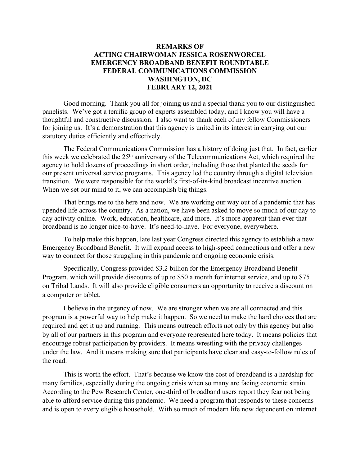## **REMARKS OF ACTING CHAIRWOMAN JESSICA ROSENWORCEL EMERGENCY BROADBAND BENEFIT ROUNDTABLE FEDERAL COMMUNICATIONS COMMISSION WASHINGTON, DC FEBRUARY 12, 2021**

Good morning. Thank you all for joining us and a special thank you to our distinguished panelists. We've got a terrific group of experts assembled today, and I know you will have a thoughtful and constructive discussion. I also want to thank each of my fellow Commissioners for joining us. It's a demonstration that this agency is united in its interest in carrying out our statutory duties efficiently and effectively.

The Federal Communications Commission has a history of doing just that. In fact, earlier this week we celebrated the 25<sup>th</sup> anniversary of the Telecommunications Act, which required the agency to hold dozens of proceedings in short order, including those that planted the seeds for our present universal service programs. This agency led the country through a digital television transition. We were responsible for the world's first-of-its-kind broadcast incentive auction. When we set our mind to it, we can accomplish big things.

That brings me to the here and now. We are working our way out of a pandemic that has upended life across the country. As a nation, we have been asked to move so much of our day to day activity online. Work, education, healthcare, and more. It's more apparent than ever that broadband is no longer nice-to-have. It's need-to-have. For everyone, everywhere.

To help make this happen, late last year Congress directed this agency to establish a new Emergency Broadband Benefit. It will expand access to high-speed connections and offer a new way to connect for those struggling in this pandemic and ongoing economic crisis.

Specifically, Congress provided \$3.2 billion for the Emergency Broadband Benefit Program, which will provide discounts of up to \$50 a month for internet service, and up to \$75 on Tribal Lands. It will also provide eligible consumers an opportunity to receive a discount on a computer or tablet.

I believe in the urgency of now. We are stronger when we are all connected and this program is a powerful way to help make it happen. So we need to make the hard choices that are required and get it up and running. This means outreach efforts not only by this agency but also by all of our partners in this program and everyone represented here today. It means policies that encourage robust participation by providers. It means wrestling with the privacy challenges under the law. And it means making sure that participants have clear and easy-to-follow rules of the road.

This is worth the effort. That's because we know the cost of broadband is a hardship for many families, especially during the ongoing crisis when so many are facing economic strain. According to the Pew Research Center, one-third of broadband users report they fear not being able to afford service during this pandemic. We need a program that responds to these concerns and is open to every eligible household. With so much of modern life now dependent on internet